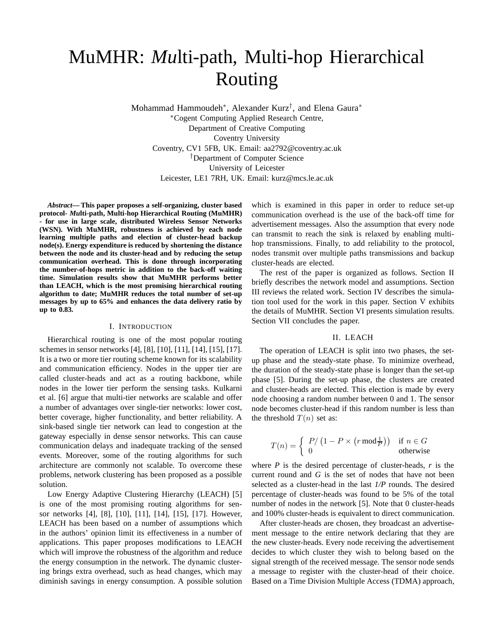# MuMHR: *Mu*lti-path, Multi-hop Hierarchical Routing

Mohammad Hammoudeh<sup>∗</sup> , Alexander Kurz† , and Elena Gaura<sup>∗</sup> <sup>∗</sup>Cogent Computing Applied Research Centre, Department of Creative Computing Coventry University Coventry, CV1 5FB, UK. Email: aa2792@coventry.ac.uk †Department of Computer Science University of Leicester Leicester, LE1 7RH, UK. Email: kurz@mcs.le.ac.uk

*Abstract***— This paper proposes a self-organizing, cluster based protocol-** *Mu***lti-path, Multi-hop Hierarchical Routing (MuMHR) - for use in large scale, distributed Wireless Sensor Networks (WSN). With MuMHR, robustness is achieved by each node learning multiple paths and election of cluster-head backup node(s). Energy expenditure is reduced by shortening the distance between the node and its cluster-head and by reducing the setup communication overhead. This is done through incorporating the number-of-hops metric in addition to the back-off waiting time. Simulation results show that MuMHR performs better than LEACH, which is the most promising hierarchical routing algorithm to date; MuMHR reduces the total number of set-up messages by up to 65% and enhances the data delivery ratio by up to 0.83.**

#### I. INTRODUCTION

Hierarchical routing is one of the most popular routing schemes in sensor networks [4], [8], [10], [11], [14], [15], [17]. It is a two or more tier routing scheme known for its scalability and communication efficiency. Nodes in the upper tier are called cluster-heads and act as a routing backbone, while nodes in the lower tier perform the sensing tasks. Kulkarni et al. [6] argue that multi-tier networks are scalable and offer a number of advantages over single-tier networks: lower cost, better coverage, higher functionality, and better reliability. A sink-based single tier network can lead to congestion at the gateway especially in dense sensor networks. This can cause communication delays and inadequate tracking of the sensed events. Moreover, some of the routing algorithms for such architecture are commonly not scalable. To overcome these problems, network clustering has been proposed as a possible solution.

Low Energy Adaptive Clustering Hierarchy (LEACH) [5] is one of the most promising routing algorithms for sensor networks [4], [8], [10], [11], [14], [15], [17]. However, LEACH has been based on a number of assumptions which in the authors' opinion limit its effectiveness in a number of applications. This paper proposes modifications to LEACH which will improve the robustness of the algorithm and reduce the energy consumption in the network. The dynamic clustering brings extra overhead, such as head changes, which may diminish savings in energy consumption. A possible solution

which is examined in this paper in order to reduce set-up communication overhead is the use of the back-off time for advertisement messages. Also the assumption that every node can transmit to reach the sink is relaxed by enabling multihop transmissions. Finally, to add reliability to the protocol, nodes transmit over multiple paths transmissions and backup cluster-heads are elected.

The rest of the paper is organized as follows. Section II briefly describes the network model and assumptions. Section III reviews the related work. Section IV describes the simulation tool used for the work in this paper. Section V exhibits the details of MuMHR. Section VI presents simulation results. Section VII concludes the paper.

#### II. LEACH

The operation of LEACH is split into two phases, the setup phase and the steady-state phase. To minimize overhead, the duration of the steady-state phase is longer than the set-up phase [5]. During the set-up phase, the clusters are created and cluster-heads are elected. This election is made by every node choosing a random number between 0 and 1. The sensor node becomes cluster-head if this random number is less than the threshold  $T(n)$  set as:

$$
T(n) = \begin{cases} P/((1 - P \times (r \mod \frac{1}{P})) & \text{if } n \in G \\ 0 & \text{otherwise} \end{cases}
$$

where  $P$  is the desired percentage of cluster-heads,  $r$  is the current round and *G* is the set of nodes that have not been selected as a cluster-head in the last *1/P* rounds. The desired percentage of cluster-heads was found to be 5% of the total number of nodes in the network [5]. Note that 0 cluster-heads and 100% cluster-heads is equivalent to direct communication.

After cluster-heads are chosen, they broadcast an advertisement message to the entire network declaring that they are the new cluster-heads. Every node receiving the advertisement decides to which cluster they wish to belong based on the signal strength of the received message. The sensor node sends a message to register with the cluster-head of their choice. Based on a Time Division Multiple Access (TDMA) approach,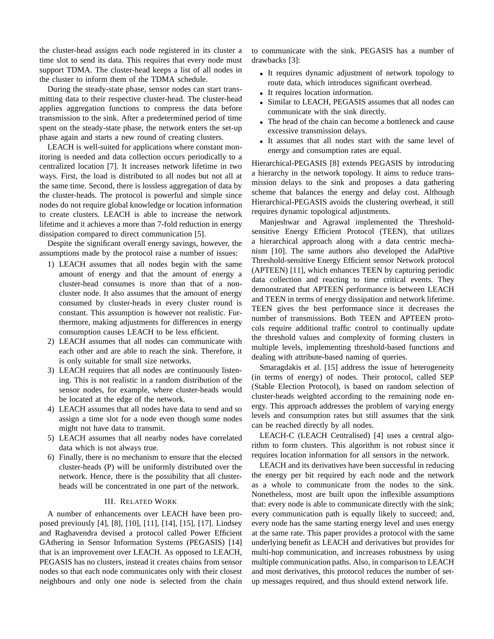the cluster-head assigns each node registered in its cluster a time slot to send its data. This requires that every node must support TDMA. The cluster-head keeps a list of all nodes in the cluster to inform them of the TDMA schedule.

During the steady-state phase, sensor nodes can start transmitting data to their respective cluster-head. The cluster-head applies aggregation functions to compress the data before transmission to the sink. After a predetermined period of time spent on the steady-state phase, the network enters the set-up phase again and starts a new round of creating clusters.

LEACH is well-suited for applications where constant monitoring is needed and data collection occurs periodically to a centralized location [7]. It increases network lifetime in two ways. First, the load is distributed to all nodes but not all at the same time. Second, there is lossless aggregation of data by the cluster-heads. The protocol is powerful and simple since nodes do not require global knowledge or location information to create clusters. LEACH is able to increase the network lifetime and it achieves a more than 7-fold reduction in energy dissipation compared to direct communication [5].

Despite the significant overall energy savings, however, the assumptions made by the protocol raise a number of issues:

- 1) LEACH assumes that all nodes begin with the same amount of energy and that the amount of energy a cluster-head consumes is more than that of a noncluster node. It also assumes that the amount of energy consumed by cluster-heads in every cluster round is constant. This assumption is however not realistic. Furthermore, making adjustments for differences in energy consumption causes LEACH to be less efficient.
- 2) LEACH assumes that all nodes can communicate with each other and are able to reach the sink. Therefore, it is only suitable for small size networks.
- 3) LEACH requires that all nodes are continuously listening. This is not realistic in a random distribution of the sensor nodes, for example, where cluster-heads would be located at the edge of the network.
- 4) LEACH assumes that all nodes have data to send and so assign a time slot for a node even though some nodes might not have data to transmit.
- 5) LEACH assumes that all nearby nodes have correlated data which is not always true.
- 6) Finally, there is no mechanism to ensure that the elected cluster-heads (P) will be uniformly distributed over the network. Hence, there is the possibility that all clusterheads will be concentrated in one part of the network.

#### III. RELATED WORK

A number of enhancements over LEACH have been proposed previously [4], [8], [10], [11], [14], [15], [17]. Lindsey and Raghavendra devised a protocol called Power Efficient GAthering in Sensor Information Systems (PEGASIS) [14] that is an improvement over LEACH. As opposed to LEACH, PEGASIS has no clusters, instead it creates chains from sensor nodes so that each node communicates only with their closest neighbours and only one node is selected from the chain

to communicate with the sink. PEGASIS has a number of drawbacks [3]:

- It requires dynamic adjustment of network topology to route data, which introduces significant overhead.
- It requires location information.
- Similar to LEACH, PEGASIS assumes that all nodes can communicate with the sink directly.
- The head of the chain can become a bottleneck and cause excessive transmission delays.
- It assumes that all nodes start with the same level of energy and consumption rates are equal.

Hierarchical-PEGASIS [8] extends PEGASIS by introducing a hierarchy in the network topology. It aims to reduce transmission delays to the sink and proposes a data gathering scheme that balances the energy and delay cost. Although Hierarchical-PEGASIS avoids the clustering overhead, it still requires dynamic topological adjustments.

Manjeshwar and Agrawal implemented the Thresholdsensitive Energy Efficient Protocol (TEEN), that utilizes a hierarchical approach along with a data centric mechanism [10]. The same authors also developed the AdaPtive Threshold-sensitive Energy Efficient sensor Network protocol (APTEEN) [11], which enhances TEEN by capturing periodic data collection and reacting to time critical events. They demonstrated that APTEEN performance is between LEACH and TEEN in terms of energy dissipation and network lifetime. TEEN gives the best performance since it decreases the number of transmissions. Both TEEN and APTEEN protocols require additional traffic control to continually update the threshold values and complexity of forming clusters in multiple levels, implementing threshold-based functions and dealing with attribute-based naming of queries.

Smaragdakis et al. [15] address the issue of heterogeneity (in terms of energy) of nodes. Their protocol, called SEP (Stable Election Protocol), is based on random selection of cluster-heads weighted according to the remaining node energy. This approach addresses the problem of varying energy levels and consumption rates but still assumes that the sink can be reached directly by all nodes.

LEACH-C (LEACH Centralised) [4] uses a central algorithm to form clusters. This algorithm is not robust since it requires location information for all sensors in the network.

LEACH and its derivatives have been successful in reducing the energy per bit required by each node and the network as a whole to communicate from the nodes to the sink. Nonetheless, most are built upon the inflexible assumptions that: every node is able to communicate directly with the sink; every communication path is equally likely to succeed; and, every node has the same starting energy level and uses energy at the same rate. This paper provides a protocol with the same underlying benefit as LEACH and derivatives but provides for multi-hop communication, and increases robustness by using multiple communication paths. Also, in comparison to LEACH and most derivatives, this protocol reduces the number of setup messages required, and thus should extend network life.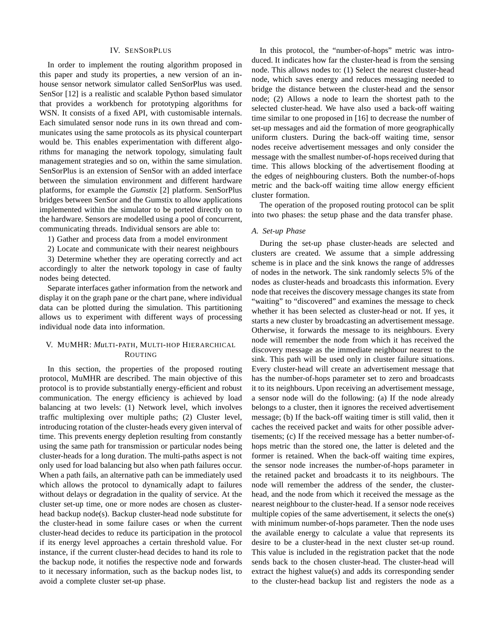#### IV. SENSORPLUS

In order to implement the routing algorithm proposed in this paper and study its properties, a new version of an inhouse sensor network simulator called SenSorPlus was used. SenSor [12] is a realistic and scalable Python based simulator that provides a workbench for prototyping algorithms for WSN. It consists of a fixed API, with customisable internals. Each simulated sensor node runs in its own thread and communicates using the same protocols as its physical counterpart would be. This enables experimentation with different algorithms for managing the network topology, simulating fault management strategies and so on, within the same simulation. SenSorPlus is an extension of SenSor with an added interface between the simulation environment and different hardware platforms, for example the *Gumstix* [2] platform. SenSorPlus bridges between SenSor and the Gumstix to allow applications implemented within the simulator to be ported directly on to the hardware. Sensors are modelled using a pool of concurrent, communicating threads. Individual sensors are able to:

1) Gather and process data from a model environment

2) Locate and communicate with their nearest neighbours 3) Determine whether they are operating correctly and act accordingly to alter the network topology in case of faulty nodes being detected.

Separate interfaces gather information from the network and display it on the graph pane or the chart pane, where individual data can be plotted during the simulation. This partitioning allows us to experiment with different ways of processing individual node data into information.

# V. MUMHR: *Mu*LTI-PATH, MULTI-HOP HIERARCHICAL ROUTING

In this section, the properties of the proposed routing protocol, MuMHR are described. The main objective of this protocol is to provide substantially energy-efficient and robust communication. The energy efficiency is achieved by load balancing at two levels: (1) Network level, which involves traffic multiplexing over multiple paths; (2) Cluster level, introducing rotation of the cluster-heads every given interval of time. This prevents energy depletion resulting from constantly using the same path for transmission or particular nodes being cluster-heads for a long duration. The multi-paths aspect is not only used for load balancing but also when path failures occur. When a path fails, an alternative path can be immediately used which allows the protocol to dynamically adapt to failures without delays or degradation in the quality of service. At the cluster set-up time, one or more nodes are chosen as clusterhead backup node(s). Backup cluster-head node substitute for the cluster-head in some failure cases or when the current cluster-head decides to reduce its participation in the protocol if its energy level approaches a certain threshold value. For instance, if the current cluster-head decides to hand its role to the backup node, it notifies the respective node and forwards to it necessary information, such as the backup nodes list, to avoid a complete cluster set-up phase.

In this protocol, the "number-of-hops" metric was introduced. It indicates how far the cluster-head is from the sensing node. This allows nodes to: (1) Select the nearest cluster-head node, which saves energy and reduces messaging needed to bridge the distance between the cluster-head and the sensor node; (2) Allows a node to learn the shortest path to the selected cluster-head. We have also used a back-off waiting time similar to one proposed in [16] to decrease the number of set-up messages and aid the formation of more geographically uniform clusters. During the back-off waiting time, sensor nodes receive advertisement messages and only consider the message with the smallest number-of-hops received during that time. This allows blocking of the advertisement flooding at the edges of neighbouring clusters. Both the number-of-hops metric and the back-off waiting time allow energy efficient cluster formation.

The operation of the proposed routing protocol can be split into two phases: the setup phase and the data transfer phase.

# *A. Set-up Phase*

During the set-up phase cluster-heads are selected and clusters are created. We assume that a simple addressing scheme is in place and the sink knows the range of addresses of nodes in the network. The sink randomly selects 5% of the nodes as cluster-heads and broadcasts this information. Every node that receives the discovery message changes its state from "waiting" to "discovered" and examines the message to check whether it has been selected as cluster-head or not. If yes, it starts a new cluster by broadcasting an advertisement message. Otherwise, it forwards the message to its neighbours. Every node will remember the node from which it has received the discovery message as the immediate neighbour nearest to the sink. This path will be used only in cluster failure situations. Every cluster-head will create an advertisement message that has the number-of-hops parameter set to zero and broadcasts it to its neighbours. Upon receiving an advertisement message, a sensor node will do the following: (a) If the node already belongs to a cluster, then it ignores the received advertisement message; (b) If the back-off waiting timer is still valid, then it caches the received packet and waits for other possible advertisements; (c) If the received message has a better number-ofhops metric than the stored one, the latter is deleted and the former is retained. When the back-off waiting time expires, the sensor node increases the number-of-hops parameter in the retained packet and broadcasts it to its neighbours. The node will remember the address of the sender, the clusterhead, and the node from which it received the message as the nearest neighbour to the cluster-head. If a sensor node receives multiple copies of the same advertisement, it selects the one(s) with minimum number-of-hops parameter. Then the node uses the available energy to calculate a value that represents its desire to be a cluster-head in the next cluster set-up round. This value is included in the registration packet that the node sends back to the chosen cluster-head. The cluster-head will extract the highest value(s) and adds its corresponding sender to the cluster-head backup list and registers the node as a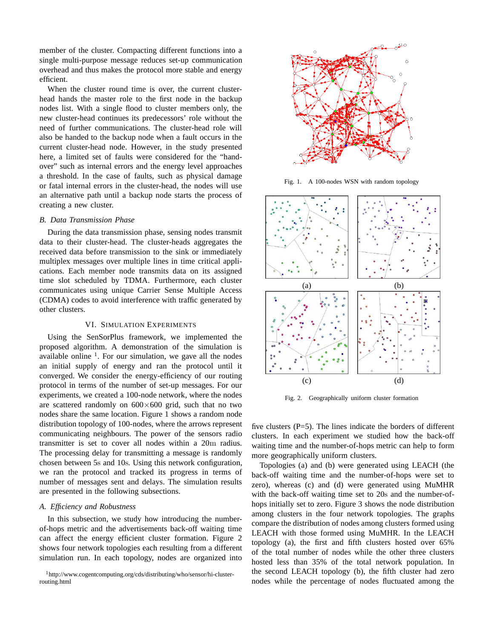member of the cluster. Compacting different functions into a single multi-purpose message reduces set-up communication overhead and thus makes the protocol more stable and energy efficient.

When the cluster round time is over, the current clusterhead hands the master role to the first node in the backup nodes list. With a single flood to cluster members only, the new cluster-head continues its predecessors' role without the need of further communications. The cluster-head role will also be handed to the backup node when a fault occurs in the current cluster-head node. However, in the study presented here, a limited set of faults were considered for the "handover" such as internal errors and the energy level approaches a threshold. In the case of faults, such as physical damage or fatal internal errors in the cluster-head, the nodes will use an alternative path until a backup node starts the process of creating a new cluster.

#### *B. Data Transmission Phase*

During the data transmission phase, sensing nodes transmit data to their cluster-head. The cluster-heads aggregates the received data before transmission to the sink or immediately multiplex messages over multiple lines in time critical applications. Each member node transmits data on its assigned time slot scheduled by TDMA. Furthermore, each cluster communicates using unique Carrier Sense Multiple Access (CDMA) codes to avoid interference with traffic generated by other clusters.

## VI. SIMULATION EXPERIMENTS

Using the SenSorPlus framework, we implemented the proposed algorithm. A demonstration of the simulation is available online  $<sup>1</sup>$ . For our simulation, we gave all the nodes</sup> an initial supply of energy and ran the protocol until it converged. We consider the energy-efficiency of our routing protocol in terms of the number of set-up messages. For our experiments, we created a 100-node network, where the nodes are scattered randomly on  $600\times600$  grid, such that no two nodes share the same location. Figure 1 shows a random node distribution topology of 100-nodes, where the arrows represent communicating neighbours. The power of the sensors radio transmitter is set to cover all nodes within a 20m radius. The processing delay for transmitting a message is randomly chosen between 5s and 10s*.* Using this network configuration, we ran the protocol and tracked its progress in terms of number of messages sent and delays. The simulation results are presented in the following subsections.

## *A. Efficiency and Robustness*

In this subsection, we study how introducing the numberof-hops metric and the advertisements back-off waiting time can affect the energy efficient cluster formation. Figure 2 shows four network topologies each resulting from a different simulation run. In each topology, nodes are organized into

<sup>1</sup>http://www.cogentcomputing.org/cds/distributing/who/sensor/hi-clusterrouting.html



Fig. 1. A 100-nodes WSN with random topology



Fig. 2. Geographically uniform cluster formation

five clusters  $(P=5)$ . The lines indicate the borders of different clusters. In each experiment we studied how the back-off waiting time and the number-of-hops metric can help to form more geographically uniform clusters.

Topologies (a) and (b) were generated using LEACH (the back-off waiting time and the number-of-hops were set to zero), whereas (c) and (d) were generated using MuMHR with the back-off waiting time set to 20s and the number-ofhops initially set to zero. Figure 3 shows the node distribution among clusters in the four network topologies. The graphs compare the distribution of nodes among clusters formed using LEACH with those formed using MuMHR. In the LEACH topology (a), the first and fifth clusters hosted over 65% of the total number of nodes while the other three clusters hosted less than 35% of the total network population. In the second LEACH topology (b), the fifth cluster had zero nodes while the percentage of nodes fluctuated among the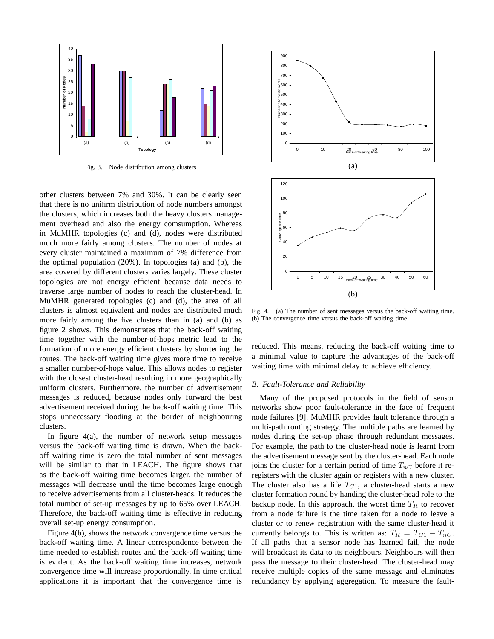

Fig. 3. Node distribution among clusters

other clusters between 7% and 30%. It can be clearly seen that there is no unifirm distribution of node numbers amongst the clusters, which increases both the heavy clusters management overhead and also the energy comsumption. Whereas in MuMHR topologies (c) and (d), nodes were distributed much more fairly among clusters. The number of nodes at every cluster maintained a maximum of 7% difference from the optimal population (20%). In topologies (a) and (b), the area covered by different clusters varies largely. These cluster topologies are not energy efficient because data needs to traverse large number of nodes to reach the cluster-head. In MuMHR generated topologies (c) and (d), the area of all clusters is almost equivalent and nodes are distributed much more fairly among the five clusters than in (a) and (b) as figure 2 shows. This demonstrates that the back-off waiting time together with the number-of-hops metric lead to the formation of more energy efficient clusters by shortening the routes. The back-off waiting time gives more time to receive a smaller number-of-hops value. This allows nodes to register with the closest cluster-head resulting in more geographically uniform clusters. Furthermore, the number of advertisement messages is reduced, because nodes only forward the best advertisement received during the back-off waiting time. This stops unnecessary flooding at the border of neighbouring clusters.

In figure  $4(a)$ , the number of network setup messages versus the back-off waiting time is drawn. When the backoff waiting time is zero the total number of sent messages will be similar to that in LEACH. The figure shows that as the back-off waiting time becomes larger, the number of messages will decrease until the time becomes large enough to receive advertisements from all cluster-heads. It reduces the total number of set-up messages by up to 65% over LEACH. Therefore, the back-off waiting time is effective in reducing overall set-up energy consumption.

Figure 4(b), shows the network convergence time versus the back-off waiting time. A linear correspondence between the time needed to establish routes and the back-off waiting time is evident. As the back-off waiting time increases, network convergence time will increase proportionally. In time critical applications it is important that the convergence time is



Fig. 4. (a) The number of sent messages versus the back-off waiting time. (b) The convergence time versus the back-off waiting time

reduced. This means, reducing the back-off waiting time to a minimal value to capture the advantages of the back-off waiting time with minimal delay to achieve efficiency.

## *B. Fault-Tolerance and Reliability*

Many of the proposed protocols in the field of sensor networks show poor fault-tolerance in the face of frequent node failures [9]. MuMHR provides fault tolerance through a multi-path routing strategy. The multiple paths are learned by nodes during the set-up phase through redundant messages. For example, the path to the cluster-head node is learnt from the advertisement message sent by the cluster-head. Each node joins the cluster for a certain period of time  $T_{nC}$  before it reregisters with the cluster again or registers with a new cluster. The cluster also has a life  $T_{C1}$ ; a cluster-head starts a new cluster formation round by handing the cluster-head role to the backup node. In this approach, the worst time  $T_R$  to recover from a node failure is the time taken for a node to leave a cluster or to renew registration with the same cluster-head it currently belongs to. This is written as:  $T_R = T_{C1} - T_{nC}$ . If all paths that a sensor node has learned fail, the node will broadcast its data to its neighbours. Neighbours will then pass the message to their cluster-head. The cluster-head may receive multiple copies of the same message and eliminates redundancy by applying aggregation. To measure the fault-